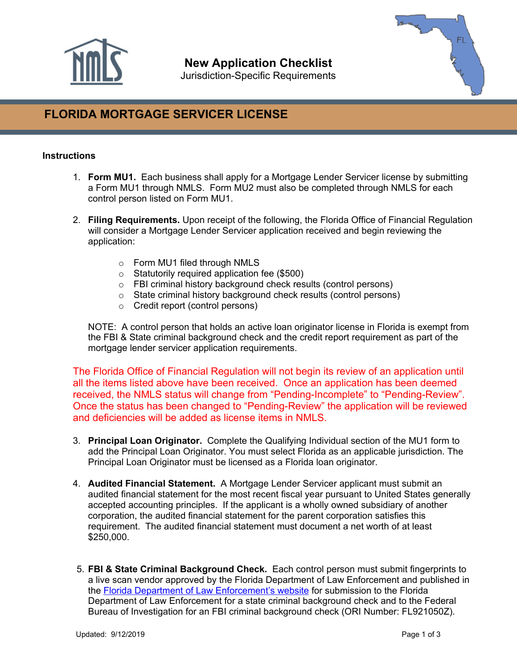

# **New Application Checklist**

Jurisdiction-Specific Requirements



# **FLORIDA MORTGAGE SERVICER LICENSE**

## **Instructions**

- 1. **Form MU1.** Each business shall apply for a Mortgage Lender Servicer license by submitting a Form MU1 through NMLS. Form MU2 must also be completed through NMLS for each control person listed on Form MU1.
- 2. **Filing Requirements.** Upon receipt of the following, the Florida Office of Financial Regulation will consider a Mortgage Lender Servicer application received and begin reviewing the application:
	- o Form MU1 filed through NMLS
	- o Statutorily required application fee (\$500)
	- o FBI criminal history background check results (control persons)
	- o State criminal history background check results (control persons)
	- o Credit report (control persons)

NOTE: A control person that holds an active loan originator license in Florida is exempt from the FBI & State criminal background check and the credit report requirement as part of the mortgage lender servicer application requirements.

The Florida Office of Financial Regulation will not begin its review of an application until all the items listed above have been received. Once an application has been deemed received, the NMLS status will change from "Pending-Incomplete" to "Pending-Review". Once the status has been changed to "Pending-Review" the application will be reviewed and deficiencies will be added as license items in NMLS.

- 3. **Principal Loan Originator.** Complete the Qualifying Individual section of the MU1 form to add the Principal Loan Originator. You must select Florida as an applicable jurisdiction. The Principal Loan Originator must be licensed as a Florida loan originator.
- 4. **Audited Financial Statement.** A Mortgage Lender Servicer applicant must submit an audited financial statement for the most recent fiscal year pursuant to United States generally accepted accounting principles. If the applicant is a wholly owned subsidiary of another corporation, the audited financial statement for the parent corporation satisfies this requirement. The audited financial statement must document a net worth of at least \$250,000.
- 5. **FBI & State Criminal Background Check.** Each control person must submit fingerprints to a live scan vendor approved by the Florida Department of Law Enforcement and published in the [Florida Department of Law Enforcement's website](https://www.fdle.state.fl.us/Criminal-History-Records/Documents/InternetDoc_ServiceProviders_June.aspx) for submission to the Florida Department of Law Enforcement for a state criminal background check and to the Federal Bureau of Investigation for an FBI criminal background check (ORI Number: FL921050Z).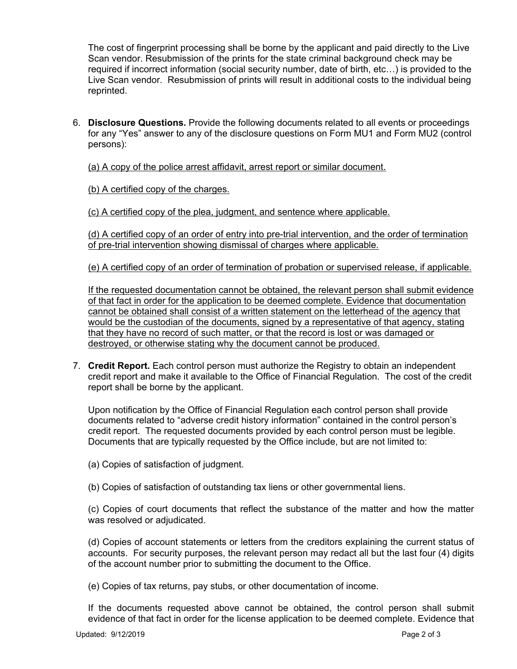The cost of fingerprint processing shall be borne by the applicant and paid directly to the Live Scan vendor. Resubmission of the prints for the state criminal background check may be required if incorrect information (social security number, date of birth, etc…) is provided to the Live Scan vendor. Resubmission of prints will result in additional costs to the individual being reprinted.

6. **Disclosure Questions.** Provide the following documents related to all events or proceedings for any "Yes" answer to any of the disclosure questions on Form MU1 and Form MU2 (control persons):

(a) A copy of the police arrest affidavit, arrest report or similar document.

(b) A certified copy of the charges.

(c) A certified copy of the plea, judgment, and sentence where applicable.

(d) A certified copy of an order of entry into pre-trial intervention, and the order of termination of pre-trial intervention showing dismissal of charges where applicable.

(e) A certified copy of an order of termination of probation or supervised release, if applicable.

If the requested documentation cannot be obtained, the relevant person shall submit evidence of that fact in order for the application to be deemed complete. Evidence that documentation cannot be obtained shall consist of a written statement on the letterhead of the agency that would be the custodian of the documents, signed by a representative of that agency, stating that they have no record of such matter, or that the record is lost or was damaged or destroyed, or otherwise stating why the document cannot be produced.

7. **Credit Report.** Each control person must authorize the Registry to obtain an independent credit report and make it available to the Office of Financial Regulation. The cost of the credit report shall be borne by the applicant.

Upon notification by the Office of Financial Regulation each control person shall provide documents related to "adverse credit history information" contained in the control person's credit report. The requested documents provided by each control person must be legible. Documents that are typically requested by the Office include, but are not limited to:

(a) Copies of satisfaction of judgment.

(b) Copies of satisfaction of outstanding tax liens or other governmental liens.

(c) Copies of court documents that reflect the substance of the matter and how the matter was resolved or adjudicated.

(d) Copies of account statements or letters from the creditors explaining the current status of accounts. For security purposes, the relevant person may redact all but the last four (4) digits of the account number prior to submitting the document to the Office.

(e) Copies of tax returns, pay stubs, or other documentation of income.

If the documents requested above cannot be obtained, the control person shall submit evidence of that fact in order for the license application to be deemed complete. Evidence that